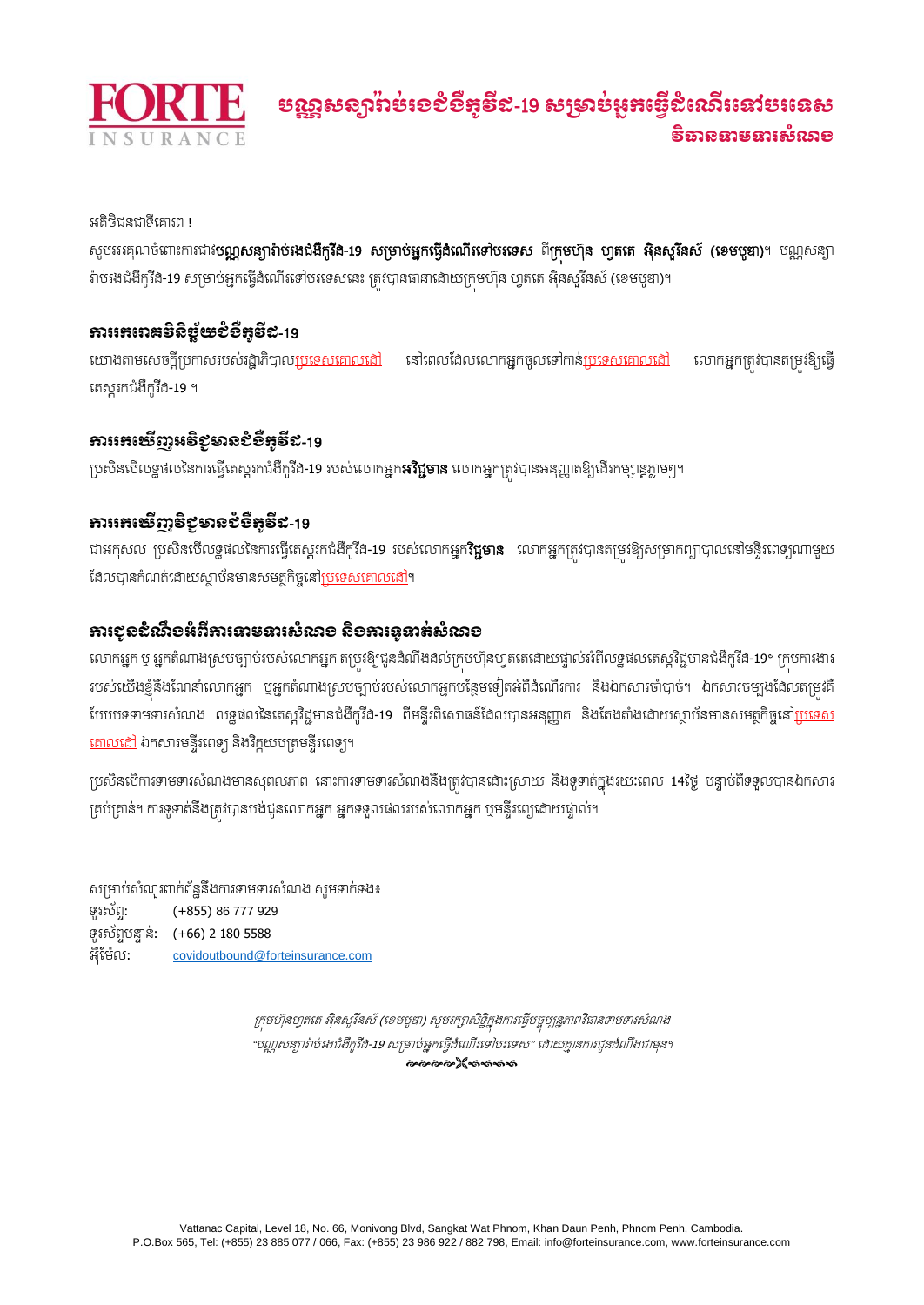

អតិថិជនជាទីគោរព !

សូមអរគុណចំពោះការជាវ**បណ្ណសន្យារ៉ាប់រងជំងឺកូវីដ-19 សម្រាប់អ្នកធ្វើដំណើរទៅបរទេស ពីក្រមហ៊ុន ហ្វតតេ អ៊ិនសូរីនស៍ (ខេមបូឌា)**។ បណ្ណសន្យា រ៉ាប់រងជំងឺកូវីដ-19 សម្រាប់អ្នកធ្វើដំណើរទៅបរទេសនេះ ត្រូវបានធានាដោយក្រុមហ៊ុន ហ្វតតេ អ៊ិនសូរីនស៍ (ខេមបូឌា)។

## ការរេករោគទិនិទ្ធ័យខ្ញុំខ្ញុំដូន្ន្ទីឌ-19

យោងតាមសេចក្តីប្រកាសរបស់រដ្ឋាភិបាល<u>ប្រទេសគោលដៅ</u> នៅពេលងែលលោកអ្នកចូលទៅកាន់<u>ប្រទេសគោលដៅ</u> លោកអ្នកត្រវបានតម្រវឱ្យធ្វើ ធរសតរកជំងឺកូវីដ-19 ។

## ការរកឃើញអទិខុទានខំខឹកទី៩-19

ប្រសិនបើលទ្ធផលនៃការធ្វើតេស្តរកជំងឺកូវីដ-19 របស់លោកអ្នក**អវិជ្ជមាន** លោកអ្នកត្ររ់បានអនុញ្ញាតឱ្យជើរកម្សាន្តភ្លាមៗ។

# ការរកឃើញទិខុមានខំទឹកទី៩-19

ជាអកុសល ប្រសិនបើលទ្ធផលនៃការធ្វើតេស្តរកជំងឺកូវីង-19 របស់លោកអ្នក**វិជ្ជមាន** លោកអ្នកត្រវបានតម្រវខិ្យសម្រាកព្យាបាលនៅមន្ទីរពេទ្យណាមួយ ដែលបានកំណត់ដោយស្ថាប័នមានសមត្ថកិច្ចនៅ<u>ប្រទេសគោលដ</u>ៅ។

# ការជូនដំណឹងអំពីការទាមទារសំណង និងការទូទាត់សំណង

លោកអ្នក ឬ អ្នកតំណាងស្របច្បាប់របស់លោកអ្នក តម្រវឱ្យជូនងំណឹងដល់ក្រមហ៊ុនហ្វតតេដោយផ្ទាល់អំពីលទ្ធផលតេស្តវិជ្ជមានជំងឺកូវីដ-19។ ក្រមការងារ របស់យើងខ្ញុំនឹងណែនាំលោកអ្នក បុអ្នកតំណាងស្របច្បាប់របស់លោកអ្នកបន្ថែមទៀតអំពីងំណើរការ និងឯកសារចាំបាច់។ ឯកសារចម្បងដែលតម្រុវគឺ បែបបទទាមទារសំណង លទ្ធផលនៃតេស្តវិជ្ជមានជំងឺកូវីង-19 ពីមន្ទីរពិសោធន៍ដែលបានអនុញ្ញាត និងតែងតាំងដោយស្ថាប័នមានសមត្ថកិច្ចនៅ<u>ប្រទេស</u> <u>គោលដៅ</u> ឯកសារមន្ទីរពេទ្យ និងវិក្ខុយបត្រមន្ទីរពេទ្យ។

ក្រេសិនបើការទាមទារសំណងមានសុពលភាព នោះការទាមទារសំណងនឹងត្រូវបានដោះស្រាយ និងទូទាត់ក្នុងរយៈពេល 14ថ្ងៃ បន្ទាប់ពីទទួលបានឯកសារ គ្រប់គ្រាន់។ ការទូទាត់នឹងត្រូវបានបង់ជូនលោកអ្នក អ្នកទទួលផលរបស់លោកអ្នក បុមន្ទីរពេ្យដោយផ្ទាល់។

សម្រាប់សំណួរពាក់ព័ន្ឋនឹងការទាមទារសំណង សូមទាក់ទង៖ ទូរស័ពា: (+855) 86 777 929 ទូរស័ពាបនាា ន់: (+66) 2 180 5588 អុីដម៉ែល: [covidoutbound@forteinsurance.com](mailto:covidoutbound@forteinsurance.com)

> ក្រុមហ៊ុនហ្វតតេ អ៊ិនសូរីនស៍ (ខេមបូឌា) សូមរក្សាសិទ្ធិក្នុងការធ្វើបច្ចុប្បន្នភាពវិធានទាមទារសំណង "បណ្ណ សន្យារ៉ា ប់រងជំងឺកូវីដ-<sup>19</sup> សម្រាប់អ្នកធ្វើដំធណ្ើរធៅបរធេស" ធោយោា នការជូនែំណឹងជាមុន។ ๛๛๛๛๚๛๛๛๛